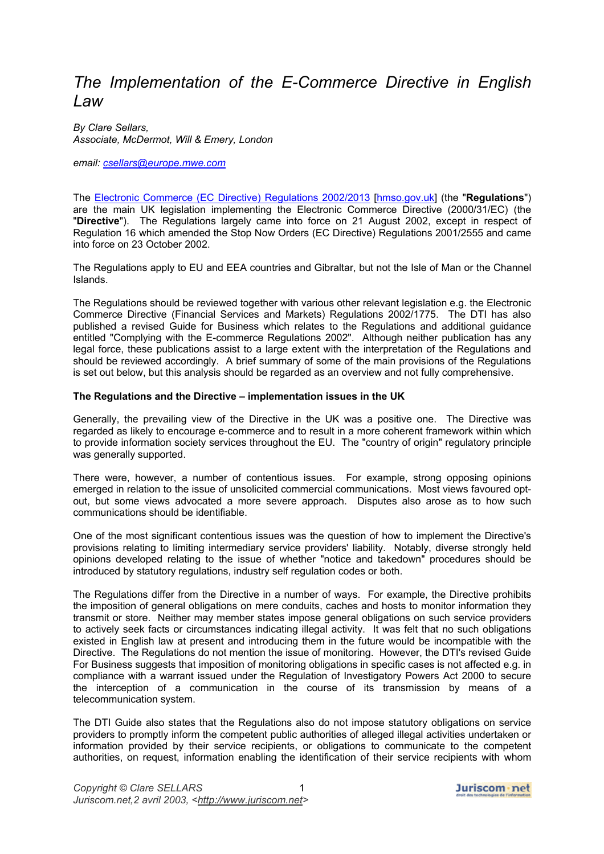# *The Implementation of the E-Commerce Directive in English Law*

*By Clare Sellars, Associate, McDermot, Will & Emery, London* 

*email: [csellars@europe.mwe.com](mailto:csellars@europe.mwe.com)*

The [Electronic Commerce \(EC Directive\) Regulations 2002/2013](http://www.hmso.gov.uk/si/si2002/20022013.htm) [\[hmso.gov.uk\]](http://www.hmso.gov.uk/) (the "**Regulations**") are the main UK legislation implementing the Electronic Commerce Directive (2000/31/EC) (the "**Directive**"). The Regulations largely came into force on 21 August 2002, except in respect of Regulation 16 which amended the Stop Now Orders (EC Directive) Regulations 2001/2555 and came into force on 23 October 2002.

The Regulations apply to EU and EEA countries and Gibraltar, but not the Isle of Man or the Channel Islands.

The Regulations should be reviewed together with various other relevant legislation e.g. the Electronic Commerce Directive (Financial Services and Markets) Regulations 2002/1775. The DTI has also published a revised Guide for Business which relates to the Regulations and additional guidance entitled "Complying with the E-commerce Regulations 2002". Although neither publication has any legal force, these publications assist to a large extent with the interpretation of the Regulations and should be reviewed accordingly. A brief summary of some of the main provisions of the Regulations is set out below, but this analysis should be regarded as an overview and not fully comprehensive.

# **The Regulations and the Directive – implementation issues in the UK**

Generally, the prevailing view of the Directive in the UK was a positive one. The Directive was regarded as likely to encourage e-commerce and to result in a more coherent framework within which to provide information society services throughout the EU. The "country of origin" regulatory principle was generally supported.

There were, however, a number of contentious issues. For example, strong opposing opinions emerged in relation to the issue of unsolicited commercial communications. Most views favoured optout, but some views advocated a more severe approach. Disputes also arose as to how such communications should be identifiable.

One of the most significant contentious issues was the question of how to implement the Directive's provisions relating to limiting intermediary service providers' liability. Notably, diverse strongly held opinions developed relating to the issue of whether "notice and takedown" procedures should be introduced by statutory regulations, industry self regulation codes or both.

The Regulations differ from the Directive in a number of ways. For example, the Directive prohibits the imposition of general obligations on mere conduits, caches and hosts to monitor information they transmit or store. Neither may member states impose general obligations on such service providers to actively seek facts or circumstances indicating illegal activity. It was felt that no such obligations existed in English law at present and introducing them in the future would be incompatible with the Directive. The Regulations do not mention the issue of monitoring. However, the DTI's revised Guide For Business suggests that imposition of monitoring obligations in specific cases is not affected e.g. in compliance with a warrant issued under the Regulation of Investigatory Powers Act 2000 to secure the interception of a communication in the course of its transmission by means of a telecommunication system.

The DTI Guide also states that the Regulations also do not impose statutory obligations on service providers to promptly inform the competent public authorities of alleged illegal activities undertaken or information provided by their service recipients, or obligations to communicate to the competent authorities, on request, information enabling the identification of their service recipients with whom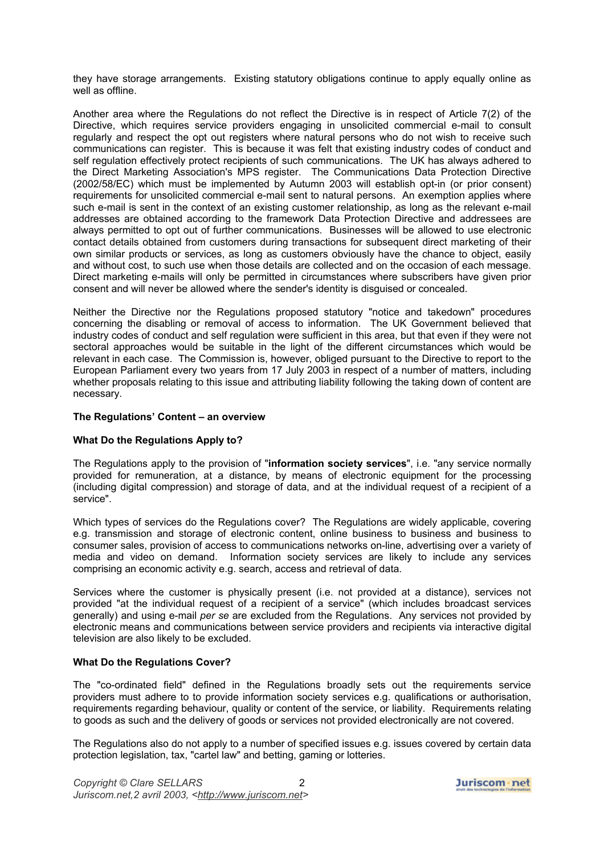they have storage arrangements. Existing statutory obligations continue to apply equally online as well as offline.

Another area where the Regulations do not reflect the Directive is in respect of Article 7(2) of the Directive, which requires service providers engaging in unsolicited commercial e-mail to consult regularly and respect the opt out registers where natural persons who do not wish to receive such communications can register. This is because it was felt that existing industry codes of conduct and self regulation effectively protect recipients of such communications. The UK has always adhered to the Direct Marketing Association's MPS register. The Communications Data Protection Directive (2002/58/EC) which must be implemented by Autumn 2003 will establish opt-in (or prior consent) requirements for unsolicited commercial e-mail sent to natural persons. An exemption applies where such e-mail is sent in the context of an existing customer relationship, as long as the relevant e-mail addresses are obtained according to the framework Data Protection Directive and addressees are always permitted to opt out of further communications. Businesses will be allowed to use electronic contact details obtained from customers during transactions for subsequent direct marketing of their own similar products or services, as long as customers obviously have the chance to object, easily and without cost, to such use when those details are collected and on the occasion of each message. Direct marketing e-mails will only be permitted in circumstances where subscribers have given prior consent and will never be allowed where the sender's identity is disguised or concealed.

Neither the Directive nor the Regulations proposed statutory "notice and takedown" procedures concerning the disabling or removal of access to information. The UK Government believed that industry codes of conduct and self regulation were sufficient in this area, but that even if they were not sectoral approaches would be suitable in the light of the different circumstances which would be relevant in each case. The Commission is, however, obliged pursuant to the Directive to report to the European Parliament every two years from 17 July 2003 in respect of a number of matters, including whether proposals relating to this issue and attributing liability following the taking down of content are necessary.

## **The Regulations' Content – an overview**

# **What Do the Regulations Apply to?**

The Regulations apply to the provision of "**information society services**", i.e. "any service normally provided for remuneration, at a distance, by means of electronic equipment for the processing (including digital compression) and storage of data, and at the individual request of a recipient of a service".

Which types of services do the Regulations cover? The Regulations are widely applicable, covering e.g. transmission and storage of electronic content, online business to business and business to consumer sales, provision of access to communications networks on-line, advertising over a variety of media and video on demand. Information society services are likely to include any services comprising an economic activity e.g. search, access and retrieval of data.

Services where the customer is physically present (i.e. not provided at a distance), services not provided "at the individual request of a recipient of a service" (which includes broadcast services generally) and using e-mail *per se* are excluded from the Regulations. Any services not provided by electronic means and communications between service providers and recipients via interactive digital television are also likely to be excluded.

# **What Do the Regulations Cover?**

The "co-ordinated field" defined in the Regulations broadly sets out the requirements service providers must adhere to to provide information society services e.g. qualifications or authorisation, requirements regarding behaviour, quality or content of the service, or liability. Requirements relating to goods as such and the delivery of goods or services not provided electronically are not covered.

The Regulations also do not apply to a number of specified issues e.g. issues covered by certain data protection legislation, tax, "cartel law" and betting, gaming or lotteries.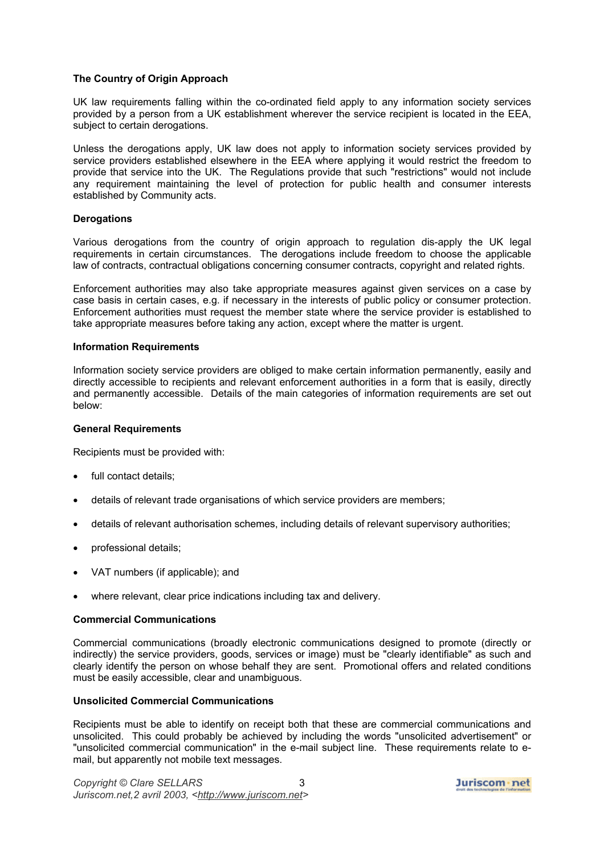# **The Country of Origin Approach**

UK law requirements falling within the co-ordinated field apply to any information society services provided by a person from a UK establishment wherever the service recipient is located in the EEA, subject to certain derogations.

Unless the derogations apply, UK law does not apply to information society services provided by service providers established elsewhere in the EEA where applying it would restrict the freedom to provide that service into the UK. The Regulations provide that such "restrictions" would not include any requirement maintaining the level of protection for public health and consumer interests established by Community acts.

#### **Derogations**

Various derogations from the country of origin approach to regulation dis-apply the UK legal requirements in certain circumstances. The derogations include freedom to choose the applicable law of contracts, contractual obligations concerning consumer contracts, copyright and related rights.

Enforcement authorities may also take appropriate measures against given services on a case by case basis in certain cases, e.g. if necessary in the interests of public policy or consumer protection. Enforcement authorities must request the member state where the service provider is established to take appropriate measures before taking any action, except where the matter is urgent.

#### **Information Requirements**

Information society service providers are obliged to make certain information permanently, easily and directly accessible to recipients and relevant enforcement authorities in a form that is easily, directly and permanently accessible. Details of the main categories of information requirements are set out below:

#### **General Requirements**

Recipients must be provided with:

- full contact details;
- details of relevant trade organisations of which service providers are members;
- details of relevant authorisation schemes, including details of relevant supervisory authorities;
- professional details;
- VAT numbers (if applicable); and
- where relevant, clear price indications including tax and delivery.

#### **Commercial Communications**

Commercial communications (broadly electronic communications designed to promote (directly or indirectly) the service providers, goods, services or image) must be "clearly identifiable" as such and clearly identify the person on whose behalf they are sent. Promotional offers and related conditions must be easily accessible, clear and unambiguous.

#### **Unsolicited Commercial Communications**

Recipients must be able to identify on receipt both that these are commercial communications and unsolicited. This could probably be achieved by including the words "unsolicited advertisement" or "unsolicited commercial communication" in the e-mail subject line. These requirements relate to email, but apparently not mobile text messages.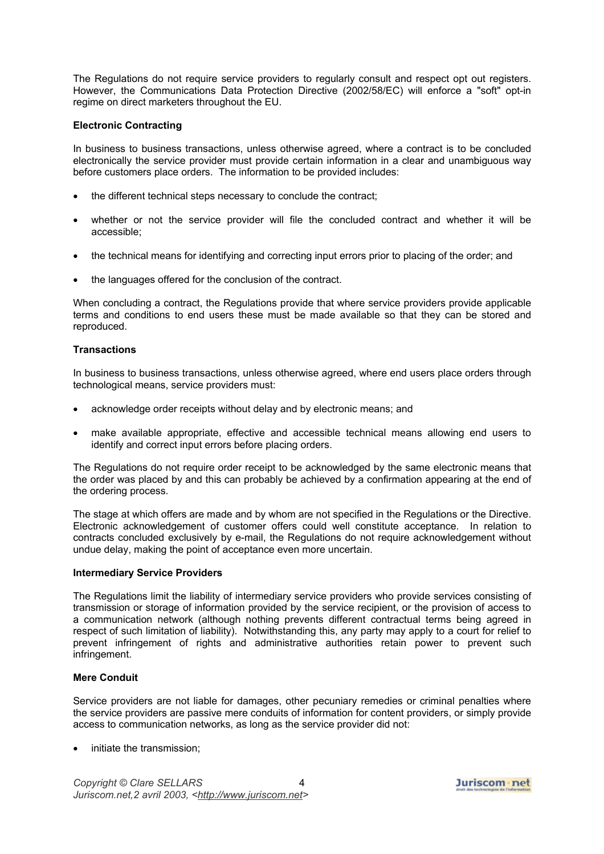The Regulations do not require service providers to regularly consult and respect opt out registers. However, the Communications Data Protection Directive (2002/58/EC) will enforce a "soft" opt-in regime on direct marketers throughout the EU.

## **Electronic Contracting**

In business to business transactions, unless otherwise agreed, where a contract is to be concluded electronically the service provider must provide certain information in a clear and unambiguous way before customers place orders. The information to be provided includes:

- the different technical steps necessary to conclude the contract;
- whether or not the service provider will file the concluded contract and whether it will be accessible;
- the technical means for identifying and correcting input errors prior to placing of the order; and
- the languages offered for the conclusion of the contract.

When concluding a contract, the Regulations provide that where service providers provide applicable terms and conditions to end users these must be made available so that they can be stored and reproduced.

## **Transactions**

In business to business transactions, unless otherwise agreed, where end users place orders through technological means, service providers must:

- acknowledge order receipts without delay and by electronic means; and
- make available appropriate, effective and accessible technical means allowing end users to identify and correct input errors before placing orders.

The Regulations do not require order receipt to be acknowledged by the same electronic means that the order was placed by and this can probably be achieved by a confirmation appearing at the end of the ordering process.

The stage at which offers are made and by whom are not specified in the Regulations or the Directive. Electronic acknowledgement of customer offers could well constitute acceptance. In relation to contracts concluded exclusively by e-mail, the Regulations do not require acknowledgement without undue delay, making the point of acceptance even more uncertain.

#### **Intermediary Service Providers**

The Regulations limit the liability of intermediary service providers who provide services consisting of transmission or storage of information provided by the service recipient, or the provision of access to a communication network (although nothing prevents different contractual terms being agreed in respect of such limitation of liability). Notwithstanding this, any party may apply to a court for relief to prevent infringement of rights and administrative authorities retain power to prevent such infringement.

# **Mere Conduit**

Service providers are not liable for damages, other pecuniary remedies or criminal penalties where the service providers are passive mere conduits of information for content providers, or simply provide access to communication networks, as long as the service provider did not:

initiate the transmission;